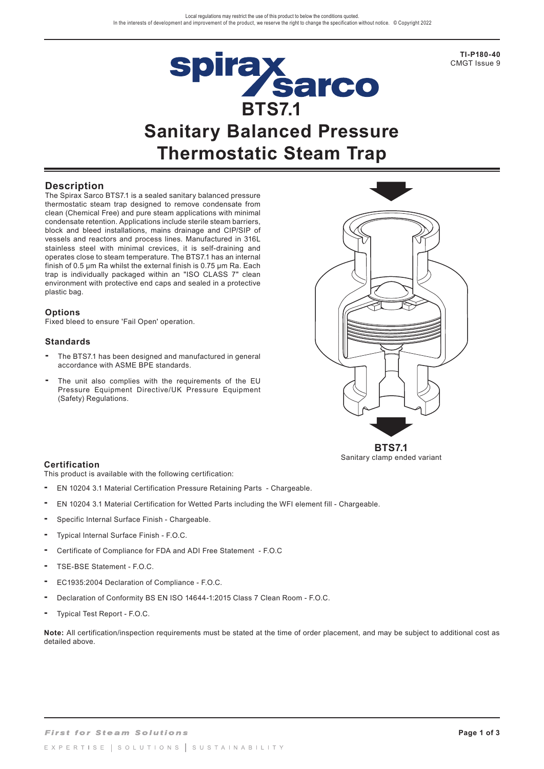spirax<br>Sarco

**TI-P180-40**  CMGT Issue 9

# **BTS7.1 Sanitary Balanced Pressure Thermostatic Steam Trap**

# **Description**

The Spirax Sarco BTS7.1 is a sealed sanitary balanced pressure thermostatic steam trap designed to remove condensate from clean (Chemical Free) and pure steam applications with minimal condensate retention. Applications include sterile steam barriers, block and bleed installations, mains drainage and CIP/SIP of vessels and reactors and process lines. Manufactured in 316L stainless steel with minimal crevices, it is self-draining and operates close to steam temperature. The BTS7.1 has an internal finish of 0.5 µm Ra whilst the external finish is 0.75 µm Ra. Each trap is individually packaged within an "ISO CLASS 7" clean environment with protective end caps and sealed in a protective plastic bag.

#### **Options**

Fixed bleed to ensure 'Fail Open' operation.

#### **Standards**

- **-** The BTS7.1 has been designed and manufactured in general accordance with ASME BPE standards.
- **-** The unit also complies with the requirements of the EU Pressure Equipment Directive/UK Pressure Equipment (Safety) Regulations.



Sanitary clamp ended variant

#### **Certification**

This product is available with the following certification:

- EN 10204 3.1 Material Certification Pressure Retaining Parts Chargeable.
- EN 10204 3.1 Material Certification for Wetted Parts including the WFI element fill Chargeable.
- Specific Internal Surface Finish Chargeable.
- Typical Internal Surface Finish F.O.C.
- Certificate of Compliance for FDA and ADI Free Statement F.O.C
- TSE-BSE Statement F.O.C.
- EC1935:2004 Declaration of Compliance F.O.C.
- Declaration of Conformity BS EN ISO 14644-1:2015 Class 7 Clean Room F.O.C.
- Typical Test Report F.O.C.

**Note:** All certification/inspection requirements must be stated at the time of order placement, and may be subject to additional cost as detailed above.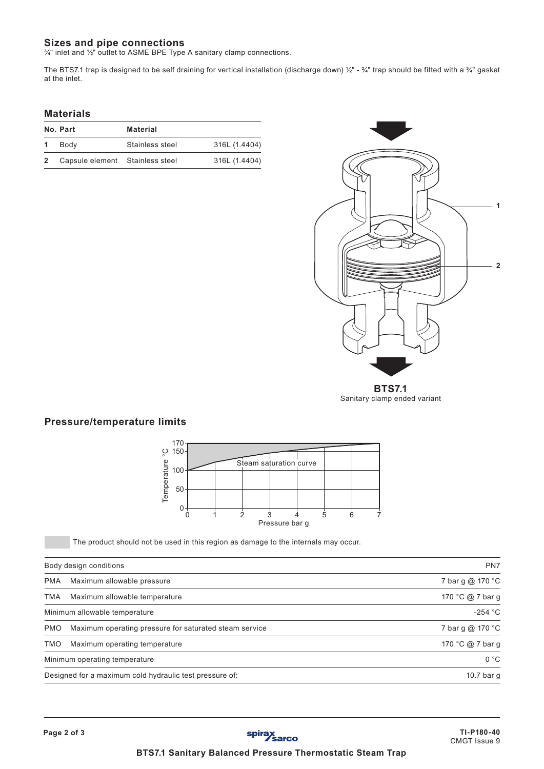# **Sizes and pipe connections**

¾" inlet and ½" outlet to ASME BPE Type A sanitary clamp connections.

The BTS7.1 trap is designed to be self draining for vertical installation (discharge down) ½" - ¾" trap should be fitted with a ¾" gasket at the inlet.

#### **Materials**

|   | No. Part                        | <b>Material</b> |               |
|---|---------------------------------|-----------------|---------------|
|   | 1 Body                          | Stainless steel | 316L (1.4404) |
| 2 | Capsule element Stainless steel |                 | 316L (1.4404) |



Sanitary clamp ended variant

# **Pressure/temperature limits**



The product should not be used in this region as damage to the internals may occur.

| Body design conditions |                                                         | PN7              |
|------------------------|---------------------------------------------------------|------------------|
| <b>PMA</b>             | Maximum allowable pressure                              | 7 bar g @ 170 °C |
| <b>TMA</b>             | Maximum allowable temperature                           | 170 °C @ 7 bar g |
|                        | Minimum allowable temperature                           | $-254 °C$        |
| <b>PMO</b>             | Maximum operating pressure for saturated steam service  | 7 bar g @ 170 °C |
| <b>TMO</b>             | Maximum operating temperature                           | 170 °C @ 7 bar g |
|                        | Minimum operating temperature                           | 0 °C             |
|                        | Designed for a maximum cold hydraulic test pressure of: | 10.7 bar g       |